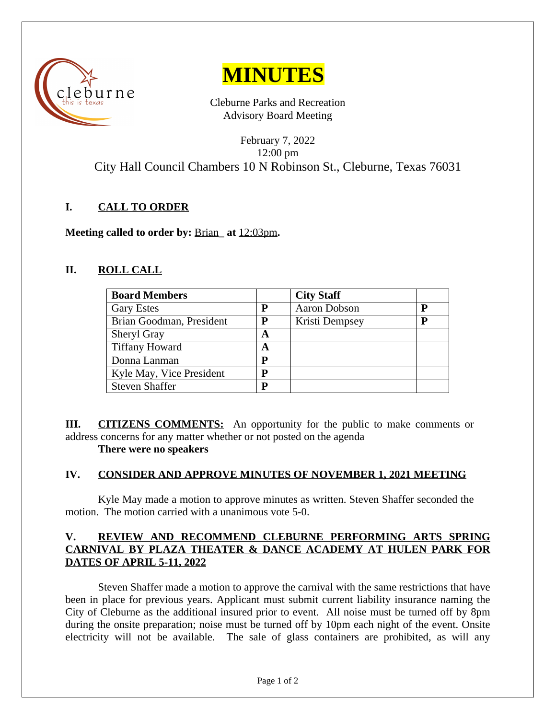



Cleburne Parks and Recreation Advisory Board Meeting

February 7, 2022 12:00 pm City Hall Council Chambers 10 N Robinson St., Cleburne, Texas 76031

## **I. CALL TO ORDER**

**Meeting called to order by:** Brian**\_ at** 12:03pm**.**

# **II. ROLL CALL**

| <b>Board Members</b>     |   | <b>City Staff</b>   |   |
|--------------------------|---|---------------------|---|
| <b>Gary Estes</b>        | P | <b>Aaron Dobson</b> | P |
| Brian Goodman, President | P | Kristi Dempsey      | P |
| <b>Sheryl Gray</b>       | A |                     |   |
| <b>Tiffany Howard</b>    | A |                     |   |
| Donna Lanman             | P |                     |   |
| Kyle May, Vice President | P |                     |   |
| <b>Steven Shaffer</b>    | P |                     |   |

**III. CITIZENS COMMENTS:** An opportunity for the public to make comments or address concerns for any matter whether or not posted on the agenda

#### **There were no speakers**

## **IV. CONSIDER AND APPROVE MINUTES OF NOVEMBER 1, 2021 MEETING**

Kyle May made a motion to approve minutes as written. Steven Shaffer seconded the motion. The motion carried with a unanimous vote 5-0.

### **V. REVIEW AND RECOMMEND CLEBURNE PERFORMING ARTS SPRING CARNIVAL BY PLAZA THEATER & DANCE ACADEMY AT HULEN PARK FOR DATES OF APRIL 5-11, 2022**

Steven Shaffer made a motion to approve the carnival with the same restrictions that have been in place for previous years. Applicant must submit current liability insurance naming the City of Cleburne as the additional insured prior to event. All noise must be turned off by 8pm during the onsite preparation; noise must be turned off by 10pm each night of the event. Onsite electricity will not be available. The sale of glass containers are prohibited, as will any